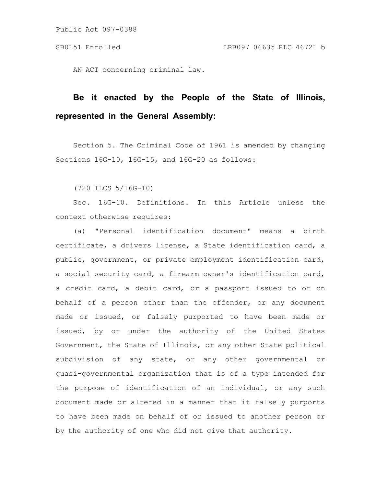AN ACT concerning criminal law.

# **Be it enacted by the People of the State of Illinois, represented in the General Assembly:**

Section 5. The Criminal Code of 1961 is amended by changing Sections 16G-10, 16G-15, and 16G-20 as follows:

(720 ILCS 5/16G-10)

Sec. 16G-10. Definitions. In this Article unless the context otherwise requires:

(a) "Personal identification document" means a birth certificate, a drivers license, a State identification card, a public, government, or private employment identification card, a social security card, a firearm owner's identification card, a credit card, a debit card, or a passport issued to or on behalf of a person other than the offender, or any document made or issued, or falsely purported to have been made or issued, by or under the authority of the United States Government, the State of Illinois, or any other State political subdivision of any state, or any other governmental or quasi-governmental organization that is of a type intended for the purpose of identification of an individual, or any such document made or altered in a manner that it falsely purports to have been made on behalf of or issued to another person or by the authority of one who did not give that authority.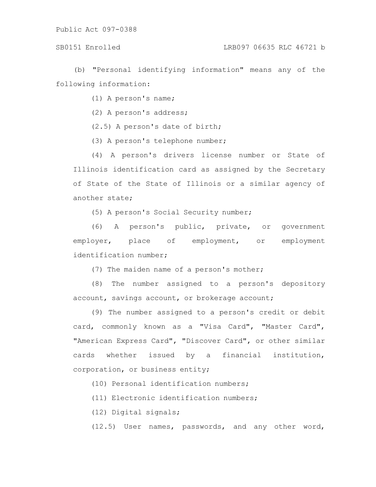(b) "Personal identifying information" means any of the following information:

(1) A person's name;

(2) A person's address;

(2.5) A person's date of birth;

(3) A person's telephone number;

(4) A person's drivers license number or State of Illinois identification card as assigned by the Secretary of State of the State of Illinois or a similar agency of another state;

(5) A person's Social Security number;

(6) A person's public, private, or government employer, place of employment, or employment identification number;

(7) The maiden name of a person's mother;

(8) The number assigned to a person's depository account, savings account, or brokerage account;

(9) The number assigned to a person's credit or debit card, commonly known as a "Visa Card", "Master Card", "American Express Card", "Discover Card", or other similar cards whether issued by a financial institution, corporation, or business entity;

(10) Personal identification numbers;

(11) Electronic identification numbers;

(12) Digital signals;

(12.5) User names, passwords, and any other word,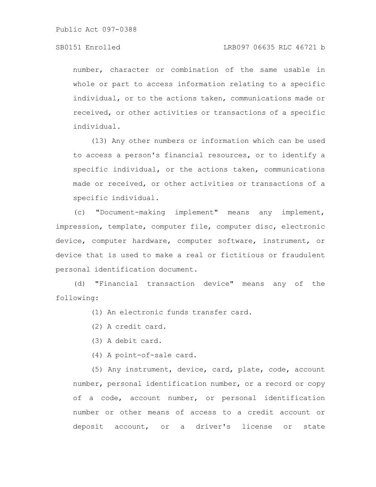number, character or combination of the same usable in whole or part to access information relating to a specific individual, or to the actions taken, communications made or received, or other activities or transactions of a specific individual.

(13) Any other numbers or information which can be used to access a person's financial resources, or to identify a specific individual, or the actions taken, communications made or received, or other activities or transactions of a specific individual.

(c) "Document-making implement" means any implement, impression, template, computer file, computer disc, electronic device, computer hardware, computer software, instrument, or device that is used to make a real or fictitious or fraudulent personal identification document.

(d) "Financial transaction device" means any of the following:

(1) An electronic funds transfer card.

- (2) A credit card.
- (3) A debit card.
- (4) A point-of-sale card.

(5) Any instrument, device, card, plate, code, account number, personal identification number, or a record or copy of a code, account number, or personal identification number or other means of access to a credit account or deposit account, or a driver's license or state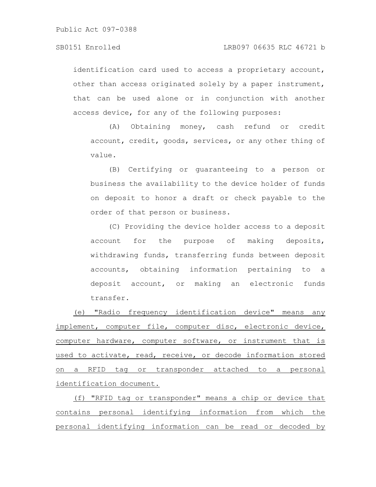identification card used to access a proprietary account, other than access originated solely by a paper instrument, that can be used alone or in conjunction with another access device, for any of the following purposes:

(A) Obtaining money, cash refund or credit account, credit, goods, services, or any other thing of value.

(B) Certifying or guaranteeing to a person or business the availability to the device holder of funds on deposit to honor a draft or check payable to the order of that person or business.

(C) Providing the device holder access to a deposit account for the purpose of making deposits, withdrawing funds, transferring funds between deposit accounts, obtaining information pertaining to a deposit account, or making an electronic funds transfer.

(e) "Radio frequency identification device" means any implement, computer file, computer disc, electronic device, computer hardware, computer software, or instrument that is used to activate, read, receive, or decode information stored on a RFID tag or transponder attached to a personal identification document.

(f) "RFID tag or transponder" means a chip or device that contains personal identifying information from which the personal identifying information can be read or decoded by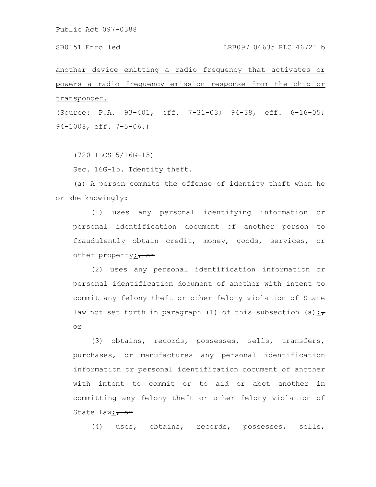### SB0151 Enrolled LRB097 06635 RLC 46721 b

another device emitting a radio frequency that activates or powers a radio frequency emission response from the chip or transponder.

(Source: P.A. 93-401, eff. 7-31-03; 94-38, eff. 6-16-05; 94-1008, eff. 7-5-06.)

(720 ILCS 5/16G-15)

Sec. 16G-15. Identity theft.

(a) A person commits the offense of identity theft when he or she knowingly:

(1) uses any personal identifying information or personal identification document of another person to fraudulently obtain credit, money, goods, services, or other property;  $\frac{\partial f}{\partial x}$ 

(2) uses any personal identification information or personal identification document of another with intent to commit any felony theft or other felony violation of State law not set forth in paragraph (1) of this subsection (a); $\frac{1}{1}$ or

(3) obtains, records, possesses, sells, transfers, purchases, or manufactures any personal identification information or personal identification document of another with intent to commit or to aid or abet another in committing any felony theft or other felony violation of State law;  $\frac{1}{100}$ 

(4) uses, obtains, records, possesses, sells,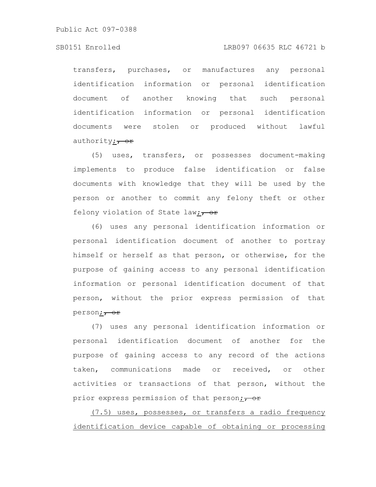### SB0151 Enrolled LRB097 06635 RLC 46721 b

transfers, purchases, or manufactures any personal identification information or personal identification document of another knowing that such personal identification information or personal identification documents were stolen or produced without lawful authority; $\frac{\partial f}{\partial x}$ 

(5) uses, transfers, or possesses document-making implements to produce false identification or false documents with knowledge that they will be used by the person or another to commit any felony theft or other felony violation of State law; $\frac{1}{100}$ 

(6) uses any personal identification information or personal identification document of another to portray himself or herself as that person, or otherwise, for the purpose of gaining access to any personal identification information or personal identification document of that person, without the prior express permission of that person; <del>or</del>

(7) uses any personal identification information or personal identification document of another for the purpose of gaining access to any record of the actions taken, communications made or received, or other activities or transactions of that person, without the prior express permission of that person;  $\frac{1}{10}$ 

(7.5) uses, possesses, or transfers a radio frequency identification device capable of obtaining or processing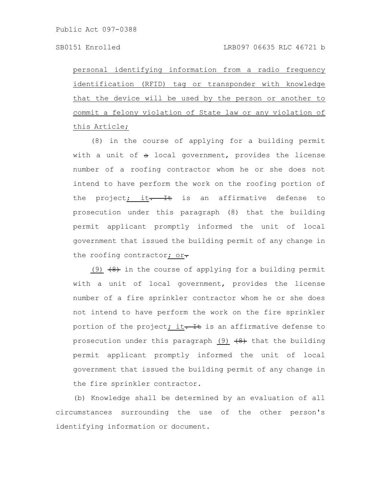personal identifying information from a radio frequency identification (RFID) tag or transponder with knowledge that the device will be used by the person or another to commit a felony violation of State law or any violation of this Article;

(8) in the course of applying for a building permit with a unit of  $a$  local government, provides the license number of a roofing contractor whom he or she does not intend to have perform the work on the roofing portion of the project<sub>j</sub> it. It is an affirmative defense to prosecution under this paragraph (8) that the building permit applicant promptly informed the unit of local government that issued the building permit of any change in the roofing contractor; or-

(9)  $(9)$  in the course of applying for a building permit with a unit of local government, provides the license number of a fire sprinkler contractor whom he or she does not intend to have perform the work on the fire sprinkler portion of the project; it. It is an affirmative defense to prosecution under this paragraph  $(9)$   $(8)$  that the building permit applicant promptly informed the unit of local government that issued the building permit of any change in the fire sprinkler contractor.

(b) Knowledge shall be determined by an evaluation of all circumstances surrounding the use of the other person's identifying information or document.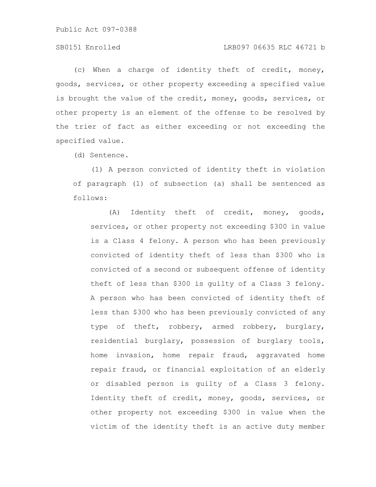## SB0151 Enrolled LRB097 06635 RLC 46721 b

(c) When a charge of identity theft of credit, money, goods, services, or other property exceeding a specified value is brought the value of the credit, money, goods, services, or other property is an element of the offense to be resolved by the trier of fact as either exceeding or not exceeding the specified value.

(d) Sentence.

(1) A person convicted of identity theft in violation of paragraph (1) of subsection (a) shall be sentenced as follows:

(A) Identity theft of credit, money, goods, services, or other property not exceeding \$300 in value is a Class 4 felony. A person who has been previously convicted of identity theft of less than \$300 who is convicted of a second or subsequent offense of identity theft of less than \$300 is guilty of a Class 3 felony. A person who has been convicted of identity theft of less than \$300 who has been previously convicted of any type of theft, robbery, armed robbery, burglary, residential burglary, possession of burglary tools, home invasion, home repair fraud, aggravated home repair fraud, or financial exploitation of an elderly or disabled person is guilty of a Class 3 felony. Identity theft of credit, money, goods, services, or other property not exceeding \$300 in value when the victim of the identity theft is an active duty member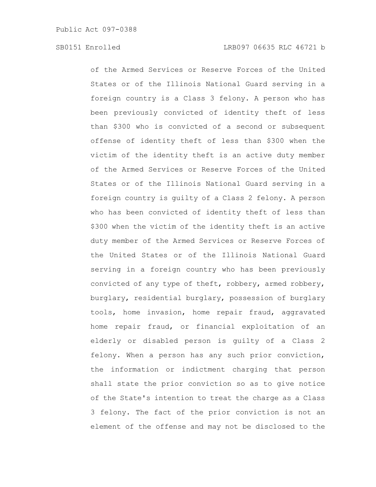of the Armed Services or Reserve Forces of the United States or of the Illinois National Guard serving in a foreign country is a Class 3 felony. A person who has been previously convicted of identity theft of less than \$300 who is convicted of a second or subsequent offense of identity theft of less than \$300 when the victim of the identity theft is an active duty member of the Armed Services or Reserve Forces of the United States or of the Illinois National Guard serving in a foreign country is guilty of a Class 2 felony. A person who has been convicted of identity theft of less than \$300 when the victim of the identity theft is an active duty member of the Armed Services or Reserve Forces of the United States or of the Illinois National Guard serving in a foreign country who has been previously convicted of any type of theft, robbery, armed robbery, burglary, residential burglary, possession of burglary tools, home invasion, home repair fraud, aggravated home repair fraud, or financial exploitation of an elderly or disabled person is guilty of a Class 2 felony. When a person has any such prior conviction, the information or indictment charging that person shall state the prior conviction so as to give notice of the State's intention to treat the charge as a Class 3 felony. The fact of the prior conviction is not an element of the offense and may not be disclosed to the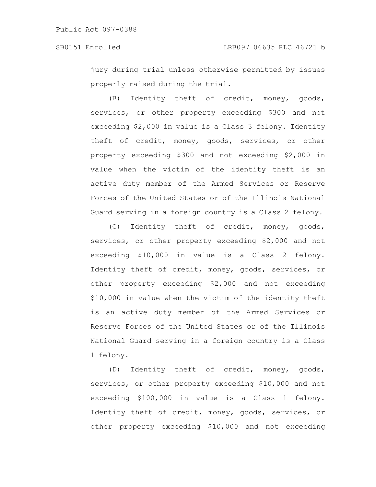jury during trial unless otherwise permitted by issues properly raised during the trial.

(B) Identity theft of credit, money, goods, services, or other property exceeding \$300 and not exceeding \$2,000 in value is a Class 3 felony. Identity theft of credit, money, goods, services, or other property exceeding \$300 and not exceeding \$2,000 in value when the victim of the identity theft is an active duty member of the Armed Services or Reserve Forces of the United States or of the Illinois National Guard serving in a foreign country is a Class 2 felony.

(C) Identity theft of credit, money, goods, services, or other property exceeding \$2,000 and not exceeding \$10,000 in value is a Class 2 felony. Identity theft of credit, money, goods, services, or other property exceeding \$2,000 and not exceeding \$10,000 in value when the victim of the identity theft is an active duty member of the Armed Services or Reserve Forces of the United States or of the Illinois National Guard serving in a foreign country is a Class 1 felony.

(D) Identity theft of credit, money, goods, services, or other property exceeding \$10,000 and not exceeding \$100,000 in value is a Class 1 felony. Identity theft of credit, money, goods, services, or other property exceeding \$10,000 and not exceeding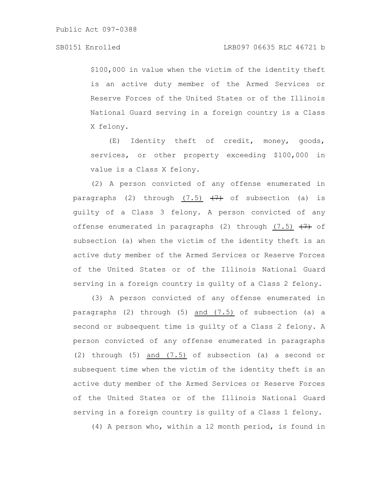\$100,000 in value when the victim of the identity theft is an active duty member of the Armed Services or Reserve Forces of the United States or of the Illinois National Guard serving in a foreign country is a Class X felony.

(E) Identity theft of credit, money, goods, services, or other property exceeding \$100,000 in value is a Class X felony.

(2) A person convicted of any offense enumerated in paragraphs (2) through  $(7.5)$   $(7)$  of subsection (a) is guilty of a Class 3 felony. A person convicted of any offense enumerated in paragraphs (2) through  $(7.5)$   $(7)$  of subsection (a) when the victim of the identity theft is an active duty member of the Armed Services or Reserve Forces of the United States or of the Illinois National Guard serving in a foreign country is guilty of a Class 2 felony.

(3) A person convicted of any offense enumerated in paragraphs (2) through (5) and (7.5) of subsection (a) a second or subsequent time is guilty of a Class 2 felony. A person convicted of any offense enumerated in paragraphs (2) through (5) and (7.5) of subsection (a) a second or subsequent time when the victim of the identity theft is an active duty member of the Armed Services or Reserve Forces of the United States or of the Illinois National Guard serving in a foreign country is guilty of a Class 1 felony.

(4) A person who, within a 12 month period, is found in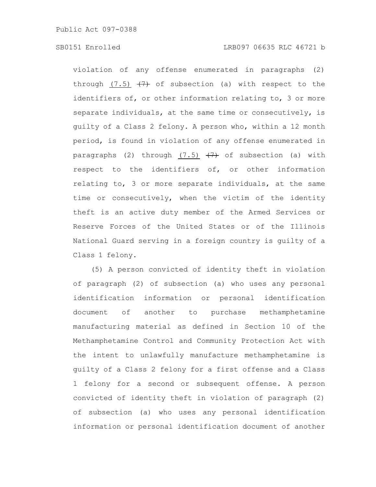violation of any offense enumerated in paragraphs (2) through (7.5)  $(7)$  of subsection (a) with respect to the identifiers of, or other information relating to, 3 or more separate individuals, at the same time or consecutively, is guilty of a Class 2 felony. A person who, within a 12 month period, is found in violation of any offense enumerated in paragraphs (2) through  $(7.5)$   $(7)$  of subsection (a) with respect to the identifiers of, or other information relating to, 3 or more separate individuals, at the same time or consecutively, when the victim of the identity theft is an active duty member of the Armed Services or Reserve Forces of the United States or of the Illinois National Guard serving in a foreign country is guilty of a Class 1 felony.

(5) A person convicted of identity theft in violation of paragraph (2) of subsection (a) who uses any personal identification information or personal identification document of another to purchase methamphetamine manufacturing material as defined in Section 10 of the Methamphetamine Control and Community Protection Act with the intent to unlawfully manufacture methamphetamine is guilty of a Class 2 felony for a first offense and a Class 1 felony for a second or subsequent offense. A person convicted of identity theft in violation of paragraph (2) of subsection (a) who uses any personal identification information or personal identification document of another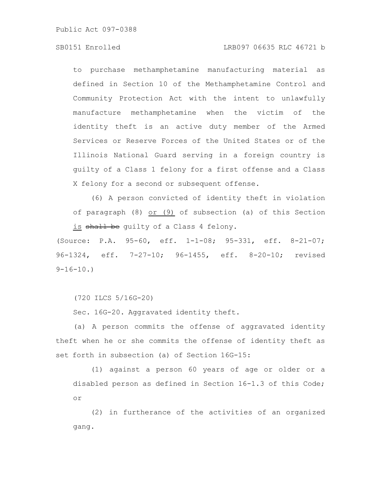## SB0151 Enrolled LRB097 06635 RLC 46721 b

to purchase methamphetamine manufacturing material as defined in Section 10 of the Methamphetamine Control and Community Protection Act with the intent to unlawfully manufacture methamphetamine when the victim of the identity theft is an active duty member of the Armed Services or Reserve Forces of the United States or of the Illinois National Guard serving in a foreign country is guilty of a Class 1 felony for a first offense and a Class X felony for a second or subsequent offense.

(6) A person convicted of identity theft in violation of paragraph (8) or (9) of subsection (a) of this Section is shall be quilty of a Class 4 felony.

(Source: P.A. 95-60, eff. 1-1-08; 95-331, eff. 8-21-07; 96-1324, eff. 7-27-10; 96-1455, eff. 8-20-10; revised  $9-16-10.$ 

(720 ILCS 5/16G-20)

Sec. 16G-20. Aggravated identity theft.

(a) A person commits the offense of aggravated identity theft when he or she commits the offense of identity theft as set forth in subsection (a) of Section 16G-15:

(1) against a person 60 years of age or older or a disabled person as defined in Section 16-1.3 of this Code; or

(2) in furtherance of the activities of an organized gang.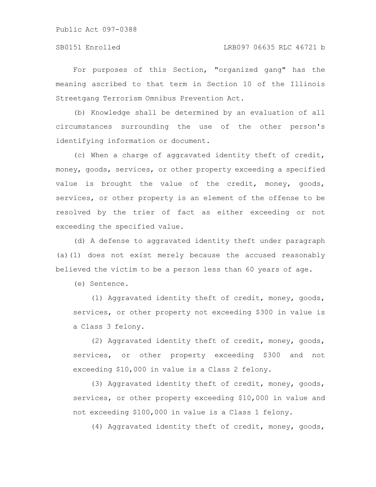For purposes of this Section, "organized gang" has the meaning ascribed to that term in Section 10 of the Illinois Streetgang Terrorism Omnibus Prevention Act.

(b) Knowledge shall be determined by an evaluation of all circumstances surrounding the use of the other person's identifying information or document.

(c) When a charge of aggravated identity theft of credit, money, goods, services, or other property exceeding a specified value is brought the value of the credit, money, goods, services, or other property is an element of the offense to be resolved by the trier of fact as either exceeding or not exceeding the specified value.

(d) A defense to aggravated identity theft under paragraph (a)(1) does not exist merely because the accused reasonably believed the victim to be a person less than 60 years of age.

(e) Sentence.

(1) Aggravated identity theft of credit, money, goods, services, or other property not exceeding \$300 in value is a Class 3 felony.

(2) Aggravated identity theft of credit, money, goods, services, or other property exceeding \$300 and not exceeding \$10,000 in value is a Class 2 felony.

(3) Aggravated identity theft of credit, money, goods, services, or other property exceeding \$10,000 in value and not exceeding \$100,000 in value is a Class 1 felony.

(4) Aggravated identity theft of credit, money, goods,